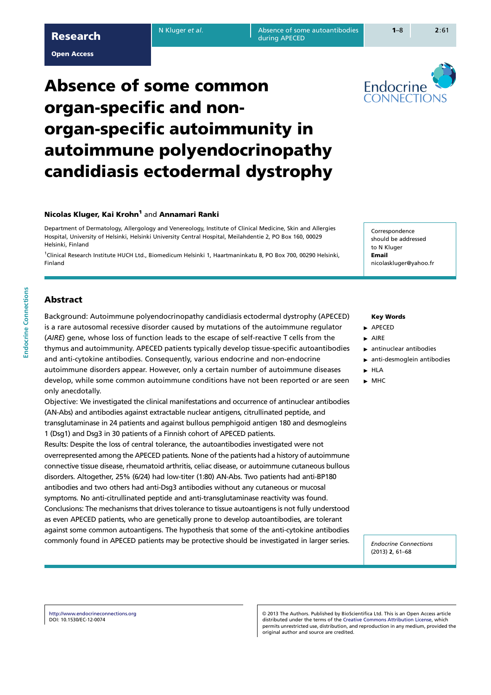#### Open Access

# Absence of some common organ-specific and nonorgan-specific autoimmunity in autoimmune polyendocrinopathy candidiasis ectodermal dystrophy

## Nicolas Kluger, Kai Krohn<sup>1</sup> and Annamari Ranki

Department of Dermatology, Allergology and Venereology, Institute of Clinical Medicine, Skin and Allergies Hospital, University of Helsinki, Helsinki University Central Hospital, Meilahdentie 2, PO Box 160, 00029 Helsinki, Finland

1 Clinical Research Institute HUCH Ltd., Biomedicum Helsinki 1, Haartmaninkatu 8, PO Box 700, 00290 Helsinki, Finland

Correspondence should be addressed to N Kluger Email nicolaskluger@yahoo.fr

# **Abstract**

Background: Autoimmune polyendocrinopathy candidiasis ectodermal dystrophy (APECED) is a rare autosomal recessive disorder caused by mutations of the autoimmune regulator (AIRE) gene, whose loss of function leads to the escape of self-reactive T cells from the thymus and autoimmunity. APECED patients typically develop tissue-specific autoantibodies and anti-cytokine antibodies. Consequently, various endocrine and non-endocrine autoimmune disorders appear. However, only a certain number of autoimmune diseases develop, while some common autoimmune conditions have not been reported or are seen only anecdotally.

Objective: We investigated the clinical manifestations and occurrence of antinuclear antibodies (AN-Abs) and antibodies against extractable nuclear antigens, citrullinated peptide, and transglutaminase in 24 patients and against bullous pemphigoid antigen 180 and desmogleins 1 (Dsg1) and Dsg3 in 30 patients of a Finnish cohort of APECED patients.

Results: Despite the loss of central tolerance, the autoantibodies investigated were not overrepresented among the APECED patients. None of the patients had a history of autoimmune connective tissue disease, rheumatoid arthritis, celiac disease, or autoimmune cutaneous bullous disorders. Altogether, 25% (6/24) had low-titer (1:80) AN-Abs. Two patients had anti-BP180 antibodies and two others had anti-Dsg3 antibodies without any cutaneous or mucosal symptoms. No anti-citrullinated peptide and anti-transglutaminase reactivity was found. Conclusions: The mechanisms that drives tolerance to tissue autoantigens is not fully understood as even APECED patients, who are genetically prone to develop autoantibodies, are tolerant against some common autoantigens. The hypothesis that some of the anti-cytokine antibodies commonly found in APECED patients may be protective should be investigated in larger series.

## Key Words

### **APECED**

- $\blacktriangleright$  AIRE
	- $\blacktriangleright$  antinuclear antibodies
	- $\blacktriangleright$  anti-desmoglein antibodies
	- $\blacktriangleright$  HLA
- $\blacktriangleright$  MHC

Endocrine Connections (2013) 2, 61–68

http://www.endocrineconnections.org DOI: 10.1530/EC-12-0074

 2013 The Authors. Published by BioScientifica Ltd. This is an Open Access article distributed under the terms of the Creative Commons Attribution License, which permits unrestricted use, distribution, and reproduction in any medium, provided the original author and source are credited.



during APECED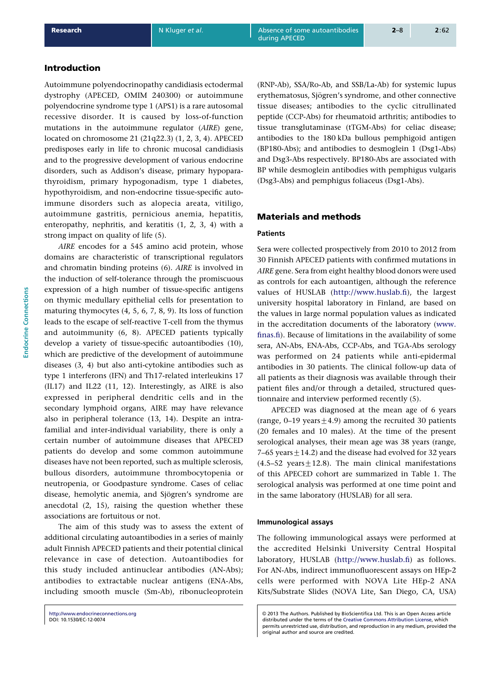# Introduction

Autoimmune polyendocrinopathy candidiasis ectodermal dystrophy (APECED, OMIM 240300) or autoimmune polyendocrine syndrome type 1 (APS1) is a rare autosomal recessive disorder. It is caused by loss-of-function mutations in the autoimmune regulator (AIRE) gene, located on chromosome 21 (21q22.3) (1, 2, 3, 4). APECED predisposes early in life to chronic mucosal candidiasis and to the progressive development of various endocrine disorders, such as Addison's disease, primary hypoparathyroidism, primary hypogonadis[m, type 1](#page-6-0) diabetes, hypothyroidism, and non-endocrine tissue-specific autoimmune disorders such as alopecia areata, vitiligo, autoimmune gastritis, pernicious anemia, hepatitis, enteropathy, nephritis, and keratitis (1, 2, 3, 4) with a strong impact on quality of life (5).

AIRE encodes for a 545 amino acid protein, whose domains are characteristic of transcriptional regulators and chromatin binding proteins (6). AIRE [is invo](#page-6-0)lved in the induction of self-tolerance [thr](#page-6-0)ough the promiscuous expression of a high number of tissue-specific antigens on thymic medullary epithelial cells for presentation to maturing thymocytes (4, 5, 6, 7, [8, 9](#page-6-0)). Its loss of function leads to the escape of self-reactive T-cell from the thymus and autoimmunity (6, 8). APECED patients typically develop a variety of tissue-specific autoantibodies (10), which are predictive [of the developm](#page-6-0)ent of autoimmune diseases (3, 4) but also anti-cytokine antibodies such as type 1 interferons (I[FN\) and](#page-6-0) Th17-related interleukins 17 (IL17) and IL22 (11, 12). Interestingly, as AIRE is [also](#page-6-0) expressed in peripheral dendritic cells and in the seconda[ry lym](#page-6-0)phoid organs, AIRE may have relevance also in peripheral tolerance (13, 14). Despite an intrafamilial and inte[r-individ](#page-6-0)ual variability, there is only a certain number of autoimmune diseases that APECED patients do develop and some common autoimmune diseases have not been reporte[d, such a](#page-6-0)s multiple sclerosis, bullous disorders, autoimmune thrombocytopenia or neutropenia, or Goodpasture syndrome. Cases of celiac disease, hemolytic anemia, and Sjögren's syndrome are anecdotal (2, 15), raising the question whether these associations are fortuitous or not.

The aim of this study was to assess the extent of additional circulating autoantibodies in a series of mainly adult Finni[sh APEC](#page-6-0)ED patients and their potential clinical relevance in case of detection. Autoantibodies for this study included antinuclear antibodies (AN-Abs); antibodies to extractable nuclear antigens (ENA-Abs, including smooth muscle (Sm-Ab), ribonucleoprotein

(RNP-Ab), SSA/Ro-Ab, and SSB/La-Ab) for systemic lupus erythematosus, Sjögren's syndrome, and other connective tissue diseases; antibodies to the cyclic citrullinated peptide (CCP-Abs) for rheumatoid arthritis; antibodies to tissue transglutaminase (tTGM-Abs) for celiac disease; antibodies to the 180 kDa bullous pemphigoid antigen (BP180-Abs); and antibodies to desmoglein 1 (Dsg1-Abs) and Dsg3-Abs respectively. BP180-Abs are associated with BP while desmoglein antibodies with pemphigus vulgaris (Dsg3-Abs) and pemphigus foliaceus (Dsg1-Abs).

## Materials and methods

#### **Patients**

during APECED

Sera were collected prospectively from 2010 to 2012 from 30 Finnish APECED patients with confirmed mutations in AIRE gene. Sera from eight healthy blood donors were used as controls for each autoantigen, although the reference values of HUSLAB (http://www.huslab.fi), the largest university hospital laboratory in Finland, are based on the values in large normal population values as indicated in the accreditation documents of the laboratory (www. finas.fi). Because of li[mitations in the availa](http://www.huslab.fi)bility of some sera, AN-Abs, ENA-Abs, CCP-Abs, and TGA-Abs serology was performed on 24 patients while anti-epidermal antibodies in 30 patients. The clinical follow-up d[ata of](http://www.finas.fi) [all pati](http://www.finas.fi)ents as their diagnosis was available through their patient files and/or through a detailed, structured questionnaire and interview performed recently (5).

APECED was diagnosed at the mean age of 6 years (range, 0–19 years  $\pm$  4.9) among the recruited 30 patients (20 females and 10 males). At the time of the present serological analyses, their mean age was 38 [ye](#page-6-0)ars (range, 7–65 years  $\pm$  14.2) and the disease had evolved for 32 years  $(4.5-52 \text{ years} \pm 12.8)$ . The main clinical manifestations of this APECED cohort are summarized in Table 1. The serological analysis was performed at one time point and in the same laboratory (HUSLAB) for all sera.

#### Immunological assays

The following immunological assays were performed at the accredited Helsinki University Central Hospital laboratory, HUSLAB (http://www.huslab.fi) as follows. For AN-Abs, indirect immunofluorescent assays on HEp-2 cells were performed with NOVA Lite HEp-2 ANA Kits/Substrate Slides (NOVA Lite, San Diego, CA, USA)

http://www.endocrineconnections.org DOI: 10.1530/EC-12-0074

2013 The Authors. Published by BioScientifica Ltd. This is an Open Access article distributed under the terms of the Creative Commons Attribution License, which permits unrestricted use, distribution, and reproduction in any medium, provided the original author and source are credited.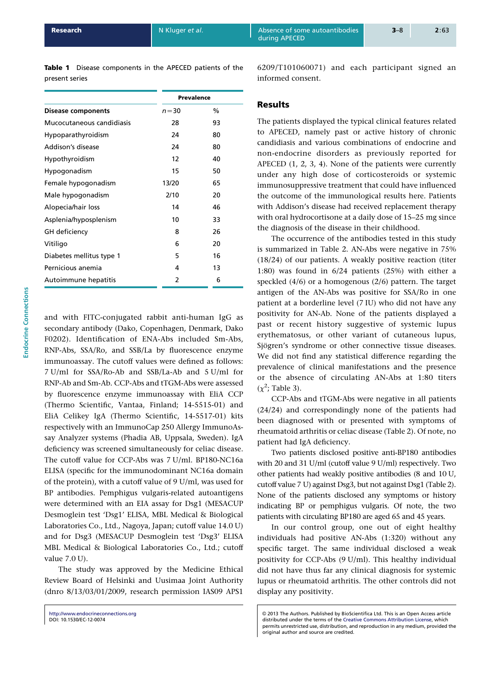Table 1 Disease components in the APECED patients of the present series

|                           | Prevalence    |               |
|---------------------------|---------------|---------------|
| <b>Disease components</b> | $n = 30$      | $\frac{0}{0}$ |
| Mucocutaneous candidiasis | 28            | 93            |
| <b>Hypoparathyroidism</b> | 24            | 80            |
| Addison's disease         | 24            | 80            |
| Hypothyroidism            | 12            | 40            |
| Hypogonadism              | 15            | 50            |
| Female hypogonadism       | 13/20         | 65            |
| Male hypogonadism         | 2/10          | 20            |
| Alopecia/hair loss        | 14            | 46            |
| Asplenia/hyposplenism     | 10            | 33            |
| GH deficiency             | 8             | 26            |
| Vitiligo                  | 6             | 20            |
| Diabetes mellitus type 1  | 5             | 16            |
| Pernicious anemia         | 4             | 13            |
| Autoimmune hepatitis      | $\mathcal{P}$ | 6             |

and with FITC-conjugated rabbit anti-human IgG as secondary antibody (Dako, Copenhagen, Denmark, Dako F0202). Identification of ENA-Abs included Sm-Abs, RNP-Abs, SSA/Ro, and SSB/La by fluorescence enzyme immunoassay. The cutoff values were defined as follows: 7 U/ml for SSA/Ro-Ab and SSB/La-Ab and 5 U/ml for RNP-Ab and Sm-Ab. CCP-Abs and tTGM-Abs were assessed by fluorescence enzyme immunoassay with EliA CCP (Thermo Scientific, Vantaa, Finland; 14-5515-01) and EliA Celikey IgA (Thermo Scientific, 14-5517-01) kits respectively with an ImmunoCap 250 Allergy ImmunoAssay Analyzer systems (Phadia AB, Uppsala, Sweden). IgA deficiency was screened simultaneously for celiac disease. The cutoff value for CCP-Abs was 7 U/ml. BP180-NC16a ELISA (specific for the immunodominant NC16a domain of the protein), with a cutoff value of 9 U/ml, was used for BP antibodies. Pemphigus vulgaris-related autoantigens were determined with an EIA assay for Dsg1 (MESACUP Desmoglein test 'Dsg1' ELISA, MBL Medical & Biological Laboratories Co., Ltd., Nagoya, Japan; cutoff value 14.0 U) and for Dsg3 (MESACUP Desmoglein test 'Dsg3' ELISA MBL Medical & Biological Laboratories Co., Ltd.; cutoff value 7.0 U).

The study was approved by the Medicine Ethical Review Board of Helsinki and Uusimaa Joint Authority (dnro 8/13/03/01/2009, research permission IAS09 APS1

6209/T101060071) and each participant signed an informed consent.

# **Results**

during APECED

The patients displayed the typical clinical features related to APECED, namely past or active history of chronic candidiasis and various combinations of endocrine and non-endocrine disorders as previously reported for APECED (1, 2, 3, 4). None of the patients were currently under any high dose of corticosteroids or systemic immunosuppressive treatment that could have influenced the outcome of the immunological results here. Patients with Ad[dison's disea](#page-6-0)se had received replacement therapy with oral hydrocortisone at a daily dose of 15–25 mg since the diagnosis of the disease in their childhood.

The occurrence of the antibodies tested in this study is summarized in Table 2. AN-Abs were negative in 75% (18/24) of our patients. A weakly positive reaction (titer 1:80) was found in 6/24 patients (25%) with either a speckled (4/6) or a homogenous (2/6) pattern. The target antigen of the A[N-Abs w](#page-3-0)as positive for SSA/Ro in one patient at a borderline level (7 IU) who did not have any positivity for AN-Ab. None of the patients displayed a past or recent history suggestive of systemic lupus erythematosus, or other variant of cutaneous lupus, Sjögren's syndrome or other connective tissue diseases. We did not find any statistical difference regarding the prevalence of clinical manifestations and the presence or the absence of circulating AN-Abs at 1:80 titers  $(\chi^2)$ ; Table 3).

CCP-Abs and tTGM-Abs were negative in all patients (24/24) and correspondingly none of the patients had been diagnosed with or presented with symptoms of rhe[umatoid](#page-3-0) arthritis or celiac disease (Table 2). Of note, no patient had IgA deficiency.

Two patients disclosed positive anti-BP180 antibodies with 20 and 31 U/ml (cutoff value 9 U/ml) respectively. Two other patients had weakly positive an[tibodies](#page-3-0) (8 and 10 U, cutoff value 7 U) against Dsg3, but not against Dsg1 (Table 2). None of the patients disclosed any symptoms or history indicating BP or pemphigus vulgaris. Of note, the two patients with circulating BP180 are aged 65 and 45 years.

In our control group, one out of eight [health](#page-3-0)y individuals had positive AN-Abs (1:320) without any specific target. The same individual disclosed a weak positivity for CCP-Abs (9 U/ml). This healthy individual did not have thus far any clinical diagnosis for systemic lupus or rheumatoid arthritis. The other controls did not display any positivity.

http://www.endocrineconnections.org DOI: 10.1530/EC-12-0074

2013 The Authors. Published by BioScientifica Ltd. This is an Open Access article distributed under the terms of the Creative Commons Attribution License, which permits unrestricted use, distribution, and reproduction in any medium, provided the original author and source are credited.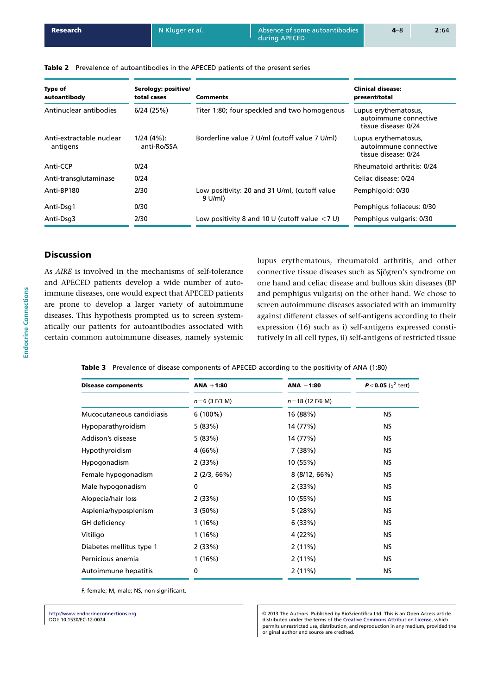<span id="page-3-0"></span>Table 2 Prevalence of autoantibodies in the APECED patients of the present series

| Type of<br>autoantibody              | Serology: positive/<br>total cases | Comments                                                   | <b>Clinical disease:</b><br>present/total                             |  |
|--------------------------------------|------------------------------------|------------------------------------------------------------|-----------------------------------------------------------------------|--|
| Antinuclear antibodies               | 6/24(25%)                          | Titer 1:80; four speckled and two homogenous               | Lupus erythematosus,<br>autoimmune connective<br>tissue disease: 0/24 |  |
| Anti-extractable nuclear<br>antigens | $1/24(4%)$ :<br>anti-Ro/SSA        | Borderline value 7 U/ml (cutoff value 7 U/ml)              | Lupus erythematosus,<br>autoimmune connective<br>tissue disease: 0/24 |  |
| Anti-CCP                             | 0/24                               |                                                            | Rheumatoid arthritis: 0/24                                            |  |
| Anti-transglutaminase                | 0/24                               |                                                            | Celiac disease: 0/24                                                  |  |
| Anti-BP180                           | 2/30                               | Low positivity: 20 and 31 U/ml, (cutoff value<br>$9$ U/ml) | Pemphigoid: 0/30                                                      |  |
| Anti-Dsg1                            | 0/30                               |                                                            | Pemphiqus foliaceus: 0/30                                             |  |
| Anti-Dsg3                            | 2/30                               | Low positivity 8 and 10 U (cutoff value $<$ 7 U)           | Pemphigus vulgaris: 0/30                                              |  |

during APECED

# **Discussion**

As AIRE is involved in the mechanisms of self-tolerance and APECED patients develop a wide number of autoimmune diseases, one would expect that APECED patients are prone to develop a larger variety of autoimmune diseases. This hypothesis prompted us to screen systematically our patients for autoantibodies associated with certain common autoimmune diseases, namely systemic lupus erythematous, rheumatoid arthritis, and other connective tissue diseases such as Sjögren's syndrome on one hand and celiac disease and bullous skin diseases (BP and pemphigus vulgaris) on the other hand. We chose to screen autoimmune diseases associated with an immunity against different classes of self-antigens according to their expression (16) such as i) self-antigens expressed constitutively in all cell types, ii) self-antigens of restricted tissue

Table 3 Prevalence of disease components of APECED according t[o the](#page-6-0) positivity of ANA (1:80)

| <b>Disease components</b> | $ANA + 1:80$    | $ANA - 1:80$        | <b>P</b> <0.05 ( $\chi^2$ test) |
|---------------------------|-----------------|---------------------|---------------------------------|
|                           | $n=6$ (3 F/3 M) | $n = 18$ (12 F/6 M) |                                 |
| Mucocutaneous candidiasis | $6(100\%)$      | 16 (88%)            | <b>NS</b>                       |
| Hypoparathyroidism        | 5 (83%)         | 14 (77%)            | NS.                             |
| Addison's disease         | 5(83%)          | 14 (77%)            | NS.                             |
| Hypothyroidism            | 4 (66%)         | 7(38%)              | <b>NS</b>                       |
| Hypogonadism              | 2(33%)          | 10 (55%)            | <b>NS</b>                       |
| Female hypogonadism       | 2(2/3, 66%)     | 8(8/12, 66%)        | <b>NS</b>                       |
| Male hypogonadism         | 0               | 2(33%)              | ΝS                              |
| Alopecia/hair loss        | 2(33%)          | 10 (55%)            | NS.                             |
| Asplenia/hyposplenism     | $3(50\%)$       | 5(28%)              | NS.                             |
| GH deficiency             | 1(16%)          | 6(33%)              | NS.                             |
| Vitiligo                  | 1(16%)          | 4 (22%)             | NS.                             |
| Diabetes mellitus type 1  | 2(33%)          | 2(11%)              | NS.                             |
| Pernicious anemia         | 1(16%)          | 2(11%)              | NS.                             |
| Autoimmune hepatitis      | 0               | 2(11%)              | NS.                             |

F, female; M, male; NS, non-significant.

http://www.endocrineconnections.org DOI: 10.1530/EC-12-0074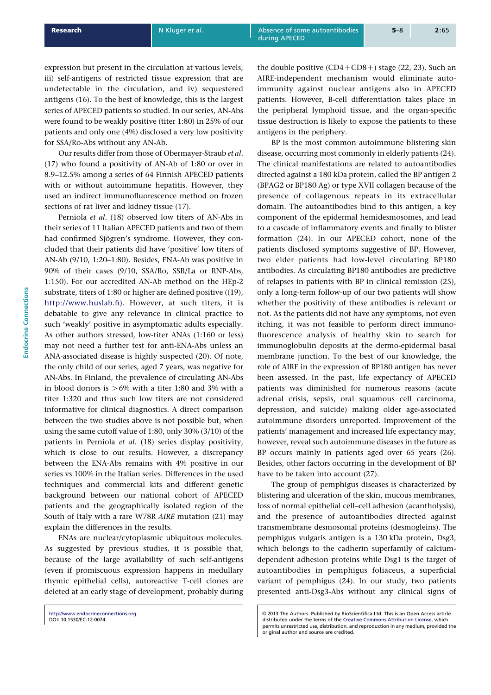Our results differ from those of Obermayer-Straub et al. (17) who found a positivity of AN-Ab of 1:80 or over in 8.9–12.5% among a series of 64 Finnish APECED patients with or without autoimmune hepatitis. However, they used an indirect immunofluorescence method on frozen [secti](#page-6-0)ons of rat liver and kidney tissue (17).

Perniola et al. (18) observed low titers of AN-Abs in their series of 11 Italian APECED patients and two of them had confirmed Sjögren's syndrome. However, they concluded that their patients did have 'p[ositi](#page-6-0)ve' low titers of AN-Ab (9/10, 1:20[–1:80](#page-6-0)). Besides, ENA-Ab was positive in 90% of their cases (9/10, SSA/Ro, SSB/La or RNP-Abs, 1:150). For our accredited AN-Ab method on the HEp-2 substrate, titers of 1:80 or higher are defined positive ((19), http://www.huslab.fi). However, at such titers, it is debatable to give any relevance in clinical practice to such 'weakly' positive in asymptomatic adults especially. As other authors stressed, low-titer ANAs (1:160 or [less\)](#page-6-0) [may not need a furth](http://www.huslab.fi)er test for anti-ENA-Abs unless an ANA-associated disease is highly suspected (20). Of note, the only child of our series, aged 7 years, was negative for AN-Abs. In Finland, the prevalence of circulating AN-Abs in blood donors is  $>6\%$  with a titer 1:80 and 3% with a titer 1:320 and thus such low titers are n[ot co](#page-6-0)nsidered informative for clinical diagnostics. A direct comparison between the two studies above is not possible but, when using the same cutoff value of 1:80, only 30% (3/10) of the patients in Perniola et al. (18) series display positivity, which is close to our results. However, a discrepancy between the ENA-Abs remains with 4% positive in our series vs 100% in the Italian series. Differences in the used techniques and commerci[al ki](#page-6-0)ts and different genetic background between our national cohort of APECED patients and the geographically isolated region of the South of Italy with a rare W78R AIRE mutation (21) may explain the differences in the results.

ENAs are nuclear/cytoplasmic ubiquitous molecules. As suggested by previous studies, it is possible that, because of the large availability of such self[-anti](#page-6-0)gens (even if promiscuous expression happens in medullary thymic epithelial cells), autoreactive T-cell clones are deleted at an early stage of development, probably during the double positive  $(CD4 + CD8 + )$  stage (22, 23). Such an AIRE-independent mechanism would eliminate autoimmunity against nuclear antigens also in APECED patients. However, B-cell differentiation takes place in the peripheral lymphoid tissue, and t[he organ](#page-6-0)-specific tissue destruction is likely to expose the patients to these antigens in the periphery.

during APECED

BP is the most common autoimmune blistering skin disease, occurring most commonly in elderly patients (24). The clinical manifestations are related to autoantibodies directed against a 180 kDa protein, called the BP antigen 2 (BPAG2 or BP180 Ag) or type XVII collagen because of the presence of collagenous repeats in its extracel[lular](#page-7-0) domain. The autoantibodies bind to this antigen, a key component of the epidermal hemidesmosomes, and lead to a cascade of inflammatory events and finally to blister formation (24). In our APECED cohort, none of the patients disclosed symptoms suggestive of BP. However, two elder patients had low-level circulating BP180 antibodies. As circulating BP180 antibodies are predictive of relapses [in pa](#page-7-0)tients with BP in clinical remission (25), only a long-term follow-up of our two patients will show whether the positivity of these antibodies is relevant or not. As the patients did not have any symptoms, not even itching, it was not feasible to perform direct imm[uno](#page-7-0)fluorescence analysis of healthy skin to search for immunoglobulin deposits at the dermo-epidermal basal membrane junction. To the best of our knowledge, the role of AIRE in the expression of BP180 antigen has never been assessed. In the past, life expectancy of APECED patients was diminished for numerous reasons (acute adrenal crisis, sepsis, oral squamous cell carcinoma, depression, and suicide) making older age-associated autoimmune disorders unreported. Improvement of the patients' management and increased life expectancy may, however, reveal such autoimmune diseases in the future as BP occurs mainly in patients aged over 65 years (26). Besides, other factors occurring in the development of BP have to be taken into account (27).

The group of pemphigus diseases is characterized by blistering and ulceration of the skin, mucous membr[anes](#page-7-0), loss of normal epithelial cell–cell adhesion (acantholysis), and the presence of autoa[ntibo](#page-7-0)dies directed against transmembrane desmosomal proteins (desmogleins). The pemphigus vulgaris antigen is a 130 kDa protein, Dsg3, which belongs to the cadherin superfamily of calciumdependent adhesion proteins while Dsg1 is the target of autoantibodies in pemphigus foliaceus, a superficial variant of pemphigus (24). In our study, two patients presented anti-Dsg3-Abs without any clinical signs of

http://www.endocrineconnections.org DOI: 10.1530/EC-12-0074

2013 The Authors. Published by BioScientifica Ltd. This is an Open Access article distributed under the terms of the [Crea](#page-7-0)tive Commons Attribution License, which permits unrestricted use, distribution, and reproduction in any medium, provided the original author and source are credited.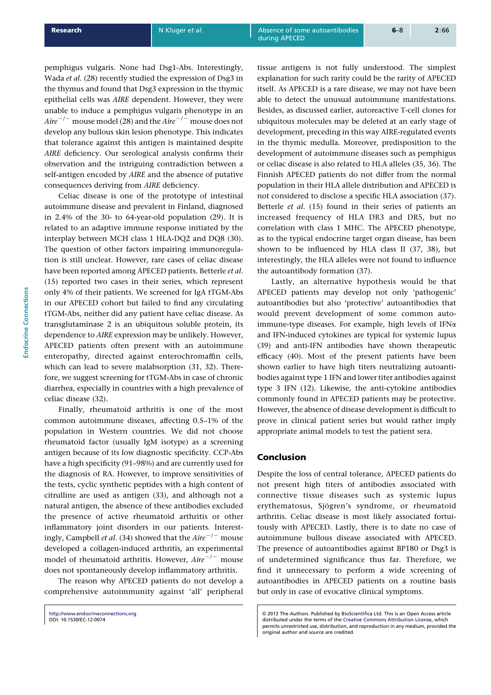pemphigus vulgaris. None had Dsg1-Abs. Interestingly, Wada et al. (28) recently studied the expression of Dsg3 in the thymus and found that Dsg3 expression in the thymic epithelial cells was AIRE dependent. However, they were unable to induce a pemphigus vulgaris phenotype in an Aire<sup>-/-</sup> mo[use m](#page-7-0)odel (28) and the Aire<sup>-/-</sup> mouse does not develop any bullous skin lesion phenotype. This indicates that tolerance against this antigen is maintained despite AIRE deficiency. Our serological analysis confirms their observation and the [intri](#page-7-0)guing contradiction between a self-antigen encoded by AIRE and the absence of putative consequences deriving from AIRE deficiency.

Celiac disease is one of the prototype of intestinal autoimmune disease and prevalent in Finland, diagnosed in 2.4% of the 30- to 64-year-old population (29). It is related to an adaptive immune response initiated by the interplay between MCH class 1 HLA-DQ2 and DQ8 (30). The question of other factors impairing immunoregulation is still unclear. However, rare cases of celi[ac d](#page-7-0)isease have been reported among APECED patients. Betterle et al. (15) reported two cases in their series, which repr[esent](#page-7-0) only 4% of their patients. We screened for IgA tTGM-Abs in our APECED cohort but failed to find any circulating tTGM-Abs, neither did any patient have celiac disease. As [tran](#page-6-0)sglutaminase 2 is an ubiquitous soluble protein, its dependence to AIRE expression may be unlikely. However, APECED patients often present with an autoimmune enteropathy, directed against enterochromaffin cells, which can lead to severe malabsorption (31, 32). Therefore, we suggest screening for tTGM-Abs in case of chronic diarrhea, especially in countries with a high prevalence of celiac disease (32).

Finally, rheumatoid arthritis is on[e of th](#page-7-0)e most common autoimmune diseases, affecting 0.5–1% of the population in Western countries. We did not choose rheumatoid f[acto](#page-7-0)r (usually IgM isotype) as a screening antigen because of its low diagnostic specificity. CCP-Abs have a high specificity (91–98%) and are currently used for the diagnosis of RA. However, to improve sensitivities of the tests, cyclic synthetic peptides with a high content of citrulline are used as antigen (33), and although not a natural antigen, the absence of these antibodies excluded the presence of active rheumatoid arthritis or other inflammatory joint disorders in our patients. Interestingly, Campbell et al. (34) sho[wed th](#page-7-0)at the Aire<sup>-/-</sup> mouse developed a collagen-induced arthritis, an experimental model of rheumatoid arthritis. However,  $Aire^{-/-}$  mouse does not spontaneously develop inflammatory arthritis.

The reason why [APEC](#page-7-0)ED patients do not develop a comprehensive autoimmunity against 'all' peripheral tissue antigens is not fully understood. The simplest explanation for such rarity could be the rarity of APECED itself. As APECED is a rare disease, we may not have been able to detect the unusual autoimmune manifestations. Besides, as discussed earlier, autoreactive T-cell clones for ubiquitous molecules may be deleted at an early stage of development, preceding in this way AIRE-regulated events in the thymic medulla. Moreover, predisposition to the development of autoimmune diseases such as pemphigus or celiac disease is also related to HLA alleles (35, 36). The Finnish APECED patients do not differ from the normal population in their HLA allele distribution and APECED is not considered to disclose a specific HLA association (37). Betterle et al. (15) found in their series of [patient](#page-7-0)s an increased frequency of HLA DR3 and DR5, but no correlation with class 1 MHC. The APECED phenotype, as to the typical endocrine target organ disease, has [been](#page-7-0) shown to be [influ](#page-6-0)enced by HLA class II (37, 38), but interestingly, the HLA alleles were not found to influence the autoantibody formation (37).

Lastly, an alternative hypothesis would be that APECED patients may develop not only ['pathog](#page-7-0)enic' autoantibodies but also 'protective' autoantibodies that would prevent developme[nt o](#page-7-0)f some common autoimmune-type diseases. For example, high levels of IFN*a* and IFN-induced cytokines are typical for systemic lupus (39) and anti-IFN antibodies have shown therapeutic efficacy (40). Most of the present patients have been shown earlier to have high titers neutralizing autoantibodies against type 1 IFN and lower titer antibodies against [type](#page-7-0) 3 IFN (12). Likewise, the anti-cytokine antibodies commo[nly fo](#page-7-0)und in APECED patients may be protective. However, the absence of disease development is difficult to prove in clinical patient series but would rather imply appropriate [anim](#page-6-0)al models to test the patient sera.

### Conclusion

during APECED

Despite the loss of central tolerance, APECED patients do not present high titers of antibodies associated with connective tissue diseases such as systemic lupus erythematosus, Sjögren's syndrome, or rheumatoid arthritis. Celiac disease is most likely associated fortuitously with APECED. Lastly, there is to date no case of autoimmune bullous disease associated with APECED. The presence of autoantibodies against BP180 or Dsg3 is of undetermined significance thus far. Therefore, we find it unnecessary to perform a wide screening of autoantibodies in APECED patients on a routine basis but only in case of evocative clinical symptoms.

http://www.endocrineconnections.org DOI: 10.1530/EC-12-0074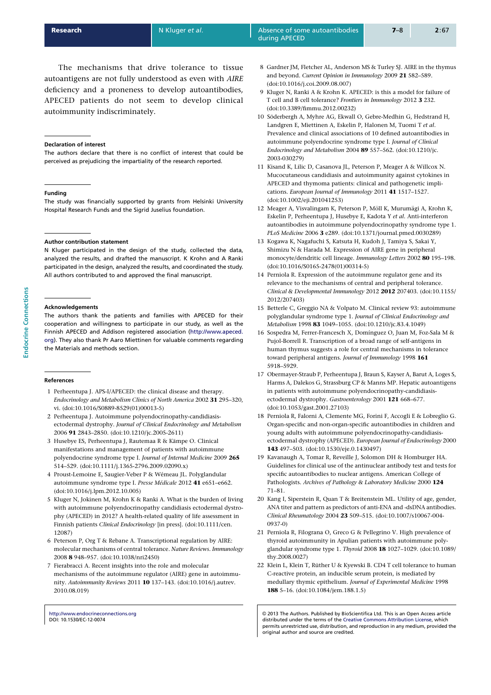<span id="page-6-0"></span>The mechanisms that drive tolerance to tissue autoantigens are not fully understood as even with AIRE deficiency and a proneness to develop autoantibodies, APECED patients do not seem to develop clinical autoimmunity indiscriminately.

#### Declaration of interest

The authors declare that there is no conflict of interest that could be perceived as prejudicing the impartiality of the research reported.

#### Funding

The study was financially supported by grants from Helsinki University Hospital Research Funds and the Sigrid Juselius foundation.

#### Author contribution statement

N Kluger participated in the design of the study, collected the data, analyzed the results, and drafted the manuscript. K Krohn and A Ranki participated in the design, analyzed the results, and coordinated the study. All authors contributed to and approved the final manuscript.

#### Acknowledgements

The authors thank the patients and families with APECED for their cooperation and willingness to participate in our study, as well as the Finnish APECED and Addison registered association (http://www.apeced. org). They also thank Pr Aaro Miettinen for valuable comments regarding the Materials and methods section.

#### [Refe](http://www.apeced.org)rences

- 1 Perheentupa J. APS-I/APECED: the clinical disease and therapy. Endocrinology and Metabolism Clinics of North America 2002 31 295–320, vi. (doi:10.1016/S0889-8529(01)00013-5)
- 2 Perheentupa J. Autoimmune polyendocrinopathy-candidiasisectodermal dystrophy. Journal of Clinical Endocrinology and Metabolism 2006 91 2843–2850. (doi:10.1210/jc.2005-2611)
- 3 Husebye ES, Perheentupa J, Rautemaa R & Kämpe O. Clinical ma[nifestations and management of pati](http://dx.doi.org/10.1016/S0889-8529(01)00013-5)ents with autoimmune polyendocrine syndrome type I. Journal of Internal Medicine 2009 265 514–529. (doi:10.1111/j.1365-2796.2009.02090.x)
- 4 Proust-Lemoine E, Saugier-Veber P & Wémeau JL. Polyglandular autoimmune syndrome type I. Presse Médicale 2012 41 e651-e662. (doi:10.1016/j.lpm.2012.10.005)
- 5 Kluger N, Jokinen M, Krohn K & Ranki A. What is the burden of living with auto[immune polyendocrinopathy candidias](http://dx.doi.org/10.1111/j.1365-2796.2009.02090.x)is ectodermal dystrophy (APECED) in 2012? A health-related quality of life assessment in Finnish patients Clinical Endocrinology [in press]. (doi:10.1111/cen. [12087\)](http://dx.doi.org/10.1016/j.lpm.2012.10.005)
- 6 Peterson P, Org T & Rebane A. Transcriptional regulation by AIRE: molecular mechanisms of central tolerance. Nature Reviews. Immunology 2008 8 948–957. (doi:10.1038/nri2450)
- 7 Fierabracci A. Recent insights into the role and [molecular](http://dx.doi.org/10.1111/cen.12087) [mecha](http://dx.doi.org/10.1111/cen.12087)nisms of the autoimmune regulator (AIRE) gene in autoimmunity. Autoimmunity Reviews 2011 10 137–143. (doi:10.1016/j.autrev. 2010.08.019)

http://www.endocrineconnections.org DOI: 10.1530/EC-12-0074

8 Gardner JM, Fletcher AL, Anderson MS & Turley SJ. AIRE in the thymus and beyond. Current Opinion in Immunology 2009 21 582–589. (doi:10.1016/j.coi.2009.08.007)

during APECED

- 9 Kluger N, Ranki A & Krohn K. APECED: is this a model for failure of T cell and B cell tolerance? Frontiers in Immunology 2012 3 232. (doi:10.3389/fimmu.2012.00232)
- 10 Söderbergh A, Myhre AG, Ekwall O, Gebre-Medhin G, Hedstrand H, [Landgren E, Miettinen A, Eskel](http://dx.doi.org/10.1016/j.coi.2009.08.007)in P, Halonen M, Tuomi T et al. Prevalence and clinical associations of 10 defined autoantibodies in autoimmune polyendocrine syndrome type I. Journal of Clinical [Endocrinology and Metabolism](http://dx.doi.org/10.3389/fimmu.2012.00232) 2004 89 557-562. (doi:10.1210/jc. 2003-030279)
- 11 Kisand K, Lilic D, Casanova JL, Peterson P, Meager A & Willcox N. Mucocutaneous candidiasis and autoimmunity against cytokines in APECED and thymoma patients: clinical and pathogenetic implications. European Journal of Immunology 2011 41 [1517–1527.](http://dx.doi.org/10.1210/jc.2003-030279) [\(doi:10.1002/](http://dx.doi.org/10.1210/jc.2003-030279)eji.201041253)
- 12 Meager A, Visvalingam K, Peterson P, Möll K, Murumägi A, Krohn K, Eskelin P, Perheentupa J, Husebye E, Kadota Y et al. Anti-interferon autoantibodies in autoimmune polyendocrinopathy syndrome type 1. PLoS Medicine 2006 3 e289. (doi:10.1371/journal.pmed.0030289)
- 13 [Kogawa K, Nagafuchi S, Kats](http://dx.doi.org/10.1002/eji.201041253)uta H, Kudoh J, Tamiya S, Sakai Y, Shimizu N & Harada M. Expression of AIRE gene in peripheral monocyte/dendritic cell lineage. Immunology Letters 2002 80 195–198. (doi:10.1016/S0165-2478(01)00314-5)
- 14 Perniola R. Expression of th[e autoimmune regulator gene and it](http://dx.doi.org/10.1371/journal.pmed.0030289)s relevance to the mechanisms of central and peripheral tolerance. Clinical & Developmental Immunology 2012 2012 207403. (doi:10.1155/ 2012/207403)
- 15 [Betterle C, Greggio NA & Volpato M.](http://dx.doi.org/10.1016/S0165-2478(01)00314-5) Clinical review 93: autoimmune polyglandular syndrome type 1. Journal of Clinical Endocrinology and Metabolism 1998 83 1049-1055. (doi:10.1210/jc.83.4.1049)
- 16 Sospedra M, Ferrer-Francesch X, Domínguez O, Juan M, [Foz-Sala M &](http://dx.doi.org/10.1155/2012/207403) [Pujol-Borrell R](http://dx.doi.org/10.1155/2012/207403). Transcription of a broad range of self-antigens in human thymus suggests a role for central mechanisms in tolerance toward peripheral antigens. Journal of Immunology 1998 161 5918–5929.
- 17 Obermayer-Straub P, Perheentupa J, Braun S, Kayser A, Barut A, Loges S, Harms A, Dalekos G, Strassburg CP & Manns MP. Hepatic autoantigens in patients with autoimmune polyendocrinopathy-candidiasisectodermal dystrophy. Gastroenterology 2001 121 668-677. (doi:10.1053/gast.2001.27103)
- 18 Perniola R, Falorni A, Clemente MG, Forini F, Accogli E & Lobreglio G. Organ-specific and non-organ-specific autoantibodies in children and young adults with autoimmune polyendocrinopathy-candidiasisectodermal dystrophy (APECED). European Journal of Endocrinology 2000 143 [497–503. \(doi:10.1530/ej](http://dx.doi.org/10.1053/gast.2001.27103)e.0.1430497)
- 19 Kavanaugh A, Tomar R, Reveille J, Solomon DH & Homburger HA. Guidelines for clinical use of the antinuclear antibody test and tests for specific autoantibodies to nuclear antigens. American College of Pathologists. Archives of Pathology & Laboratory Medicine 2000 124 71–81.
- 20 Kang I, Siperstein R, Quan T & Breitenstein ML. Utility of age, gender, ANA titer and pattern as predictors of anti-ENA and -dsDNA antibodies. Clinical Rheumatology 2004 23 509–515. (doi:10.1007/s10067-004- 0937-0)
- 21 Perniola R, Filograna O, Greco G & Pellegrino V. High prevalence of thyroid autoimmunity in Apulian patients with autoimmune polyglandular syndrome type 1. Thyroid 2008 18 1027-1029. (doi:10.1089/ thy.2008.0027)
- 22 [Klein L](http://dx.doi.org/10.1007/s10067-004-0937-0), Klein T, Rüther U & Kyewski B. CD4 T cell tolerance to human C-reactive protein, an inducible serum protein, is mediated by medullary thymic epithelium. Journal of Experimental Medicine 1998 188 5–16. (doi:10.1084/jem.188.1.5)